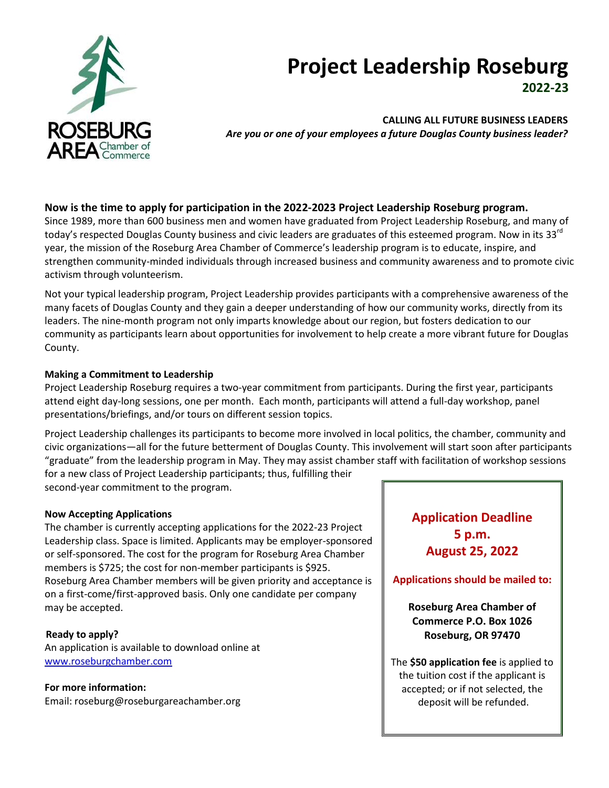

# **Project Leadership Roseburg 2022-23**

**CALLING ALL FUTURE BUSINESS LEADERS** *Are you or one of your employees a future Douglas County business leader?*

## **Now is the time to apply for participation in the 2022-2023 Project Leadership Roseburg program.**

Since 1989, more than 600 business men and women have graduated from Project Leadership Roseburg, and many of today's respected Douglas County business and civic leaders are graduates of this esteemed program. Now in its 33<sup>rd</sup> year, the mission of the Roseburg Area Chamber of Commerce's leadership program is to educate, inspire, and strengthen community-minded individuals through increased business and community awareness and to promote civic activism through volunteerism.

Not your typical leadership program, Project Leadership provides participants with a comprehensive awareness of the many facets of Douglas County and they gain a deeper understanding of how our community works, directly from its leaders. The nine-month program not only imparts knowledge about our region, but fosters dedication to our community as participants learn about opportunities for involvement to help create a more vibrant future for Douglas County.

#### **Making a Commitment to Leadership**

Project Leadership Roseburg requires a two-year commitment from participants. During the first year, participants attend eight day-long sessions, one per month. Each month, participants will attend a full-day workshop, panel presentations/briefings, and/or tours on different session topics.

Project Leadership challenges its participants to become more involved in local politics, the chamber, community and civic organizations—all for the future betterment of Douglas County. This involvement will start soon after participants "graduate" from the leadership program in May. They may assist chamber staff with facilitation of workshop sessions for a new class of Project Leadership participants; thus, fulfilling their

second-year commitment to the program.

#### **Now Accepting Applications**

The chamber is currently accepting applications for the 2022-23 Project Leadership class. Space is limited. Applicants may be employer-sponsored or self-sponsored. The cost for the program for Roseburg Area Chamber members is \$725; the cost for non-member participants is \$925. Roseburg Area Chamber members will be given priority and acceptance is on a first-come/first-approved basis. Only one candidate per company may be accepted.

 **Ready to apply?** An application is available to download online at [www.roseburgchamber.com](http://www.roseburgchamber.com/)

**For more information:** Email: roseburg@roseburgareachamber.org **Application Deadline 5 p.m. August 25, 2022**

**Applications should be mailed to:**

**Roseburg Area Chamber of Commerce P.O. Box 1026 Roseburg, OR 97470**

The **\$50 application fee** is applied to the tuition cost if the applicant is accepted; or if not selected, the deposit will be refunded.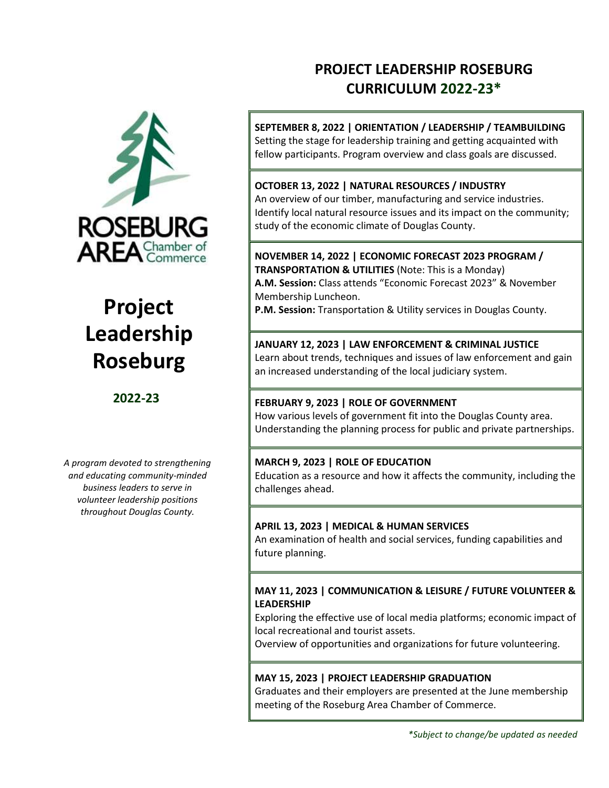

# **Project Leadership Roseburg**

# **2022-23**

*A program devoted to strengthening and educating community-minded business leaders to serve in volunteer leadership positions throughout Douglas County.*

# **PROJECT LEADERSHIP ROSEBURG CURRICULUM 2022-23\***

**SEPTEMBER 8, 2022 | ORIENTATION / LEADERSHIP / TEAMBUILDING**  Setting the stage for leadership training and getting acquainted with fellow participants. Program overview and class goals are discussed.

# **OCTOBER 13, 2022 | NATURAL RESOURCES / INDUSTRY**

 study of the economic climate of Douglas County. An overview of our timber, manufacturing and service industries. Identify local natural resource issues and its impact on the community;

**NOVEMBER 14, 2022 | ECONOMIC FORECAST 2023 PROGRAM / TRANSPORTATION & UTILITIES** (Note: This is a Monday) **A.M. Session:** Class attends "Economic Forecast 2023" & November Membership Luncheon.

**P.M. Session:** Transportation & Utility services in Douglas County.

# **JANUARY 12, 2023 | LAW ENFORCEMENT & CRIMINAL JUSTICE**

Learn about trends, techniques and issues of law enforcement and gain an increased understanding of the local judiciary system.

#### **FEBRUARY 9, 2023 | ROLE OF GOVERNMENT**

How various levels of government fit into the Douglas County area. Understanding the planning process for public and private partnerships.

# **MARCH 9, 2023 | ROLE OF EDUCATION**

Education as a resource and how it affects the community, including the challenges ahead.

# **APRIL 13, 2023 | MEDICAL & HUMAN SERVICES**

An examination of health and social services, funding capabilities and future planning.

## **MAY 11, 2023 | COMMUNICATION & LEISURE / FUTURE VOLUNTEER & LEADERSHIP**

Exploring the effective use of local media platforms; economic impact of local recreational and tourist assets.

Overview of opportunities and organizations for future volunteering.

#### **MAY 15, 2023 | PROJECT LEADERSHIP GRADUATION**

Graduates and their employers are presented at the June membership meeting of the Roseburg Area Chamber of Commerce.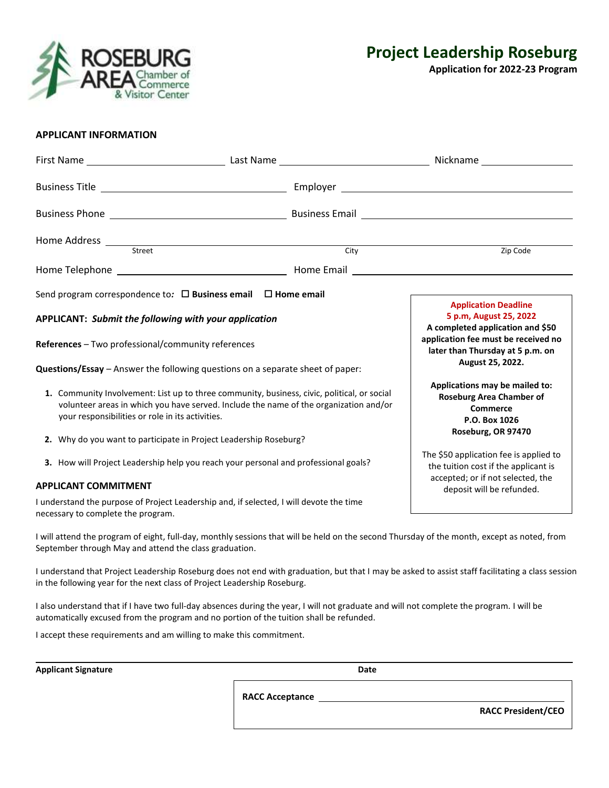

**Application for 2022-23 Program**

#### **APPLICANT INFORMATION**

|                                                                                                                                                                                                                                                                                                               | Home Address <u>Street</u><br>City                                                                                                                                                       | Zip Code                  |  |
|---------------------------------------------------------------------------------------------------------------------------------------------------------------------------------------------------------------------------------------------------------------------------------------------------------------|------------------------------------------------------------------------------------------------------------------------------------------------------------------------------------------|---------------------------|--|
|                                                                                                                                                                                                                                                                                                               |                                                                                                                                                                                          |                           |  |
| Send program correspondence to: $\Box$ Business email $\Box$ Home email                                                                                                                                                                                                                                       |                                                                                                                                                                                          |                           |  |
| APPLICANT: Submit the following with your application<br><b>References</b> – Two professional/community references<br>Questions/Essay - Answer the following questions on a separate sheet of paper:                                                                                                          | <b>Application Deadline</b><br>5 p.m, August 25, 2022<br>A completed application and \$50<br>application fee must be received no<br>later than Thursday at 5 p.m. on<br>August 25, 2022. |                           |  |
| 1. Community Involvement: List up to three community, business, civic, political, or social<br>volunteer areas in which you have served. Include the name of the organization and/or<br>your responsibilities or role in its activities.<br>2. Why do you want to participate in Project Leadership Roseburg? | Applications may be mailed to:<br><b>Roseburg Area Chamber of</b><br><b>Commerce</b><br>P.O. Box 1026<br>Roseburg, OR 97470                                                              |                           |  |
| 3. How will Project Leadership help you reach your personal and professional goals?<br><b>APPLICANT COMMITMENT</b>                                                                                                                                                                                            | The \$50 application fee is applied to<br>the tuition cost if the applicant is<br>accepted; or if not selected, the                                                                      |                           |  |
| necessary to complete the program.                                                                                                                                                                                                                                                                            | I understand the purpose of Project Leadership and, if selected, I will devote the time                                                                                                  | deposit will be refunded. |  |

I will attend the program of eight, full-day, monthly sessions that will be held on the second Thursday of the month, except as noted, from September through May and attend the class graduation.

I understand that Project Leadership Roseburg does not end with graduation, but that I may be asked to assist staff facilitating a class session in the following year for the next class of Project Leadership Roseburg.

I also understand that if I have two full-day absences during the year, I will not graduate and will not complete the program. I will be automatically excused from the program and no portion of the tuition shall be refunded.

I accept these requirements and am willing to make this commitment.

**Applicant Signature Date**

**RACC Acceptance** 

**RACC President/CEO**